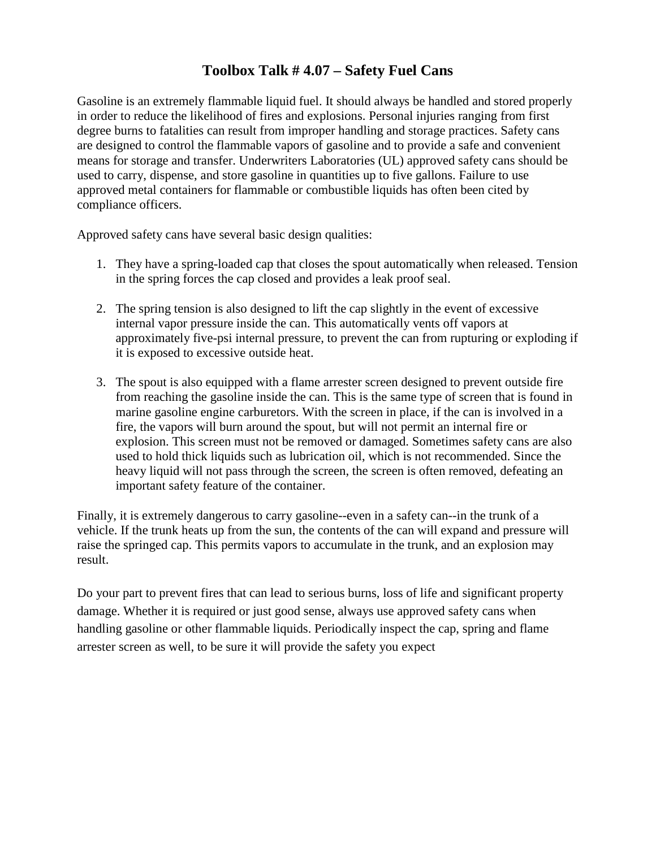## **Toolbox Talk # 4.07 – Safety Fuel Cans**

Gasoline is an extremely flammable liquid fuel. It should always be handled and stored properly in order to reduce the likelihood of fires and explosions. Personal injuries ranging from first degree burns to fatalities can result from improper handling and storage practices. Safety cans are designed to control the flammable vapors of gasoline and to provide a safe and convenient means for storage and transfer. Underwriters Laboratories (UL) approved safety cans should be used to carry, dispense, and store gasoline in quantities up to five gallons. Failure to use approved metal containers for flammable or combustible liquids has often been cited by compliance officers.

Approved safety cans have several basic design qualities:

- 1. They have a spring-loaded cap that closes the spout automatically when released. Tension in the spring forces the cap closed and provides a leak proof seal.
- 2. The spring tension is also designed to lift the cap slightly in the event of excessive internal vapor pressure inside the can. This automatically vents off vapors at approximately five-psi internal pressure, to prevent the can from rupturing or exploding if it is exposed to excessive outside heat.
- 3. The spout is also equipped with a flame arrester screen designed to prevent outside fire from reaching the gasoline inside the can. This is the same type of screen that is found in marine gasoline engine carburetors. With the screen in place, if the can is involved in a fire, the vapors will burn around the spout, but will not permit an internal fire or explosion. This screen must not be removed or damaged. Sometimes safety cans are also used to hold thick liquids such as lubrication oil, which is not recommended. Since the heavy liquid will not pass through the screen, the screen is often removed, defeating an important safety feature of the container.

Finally, it is extremely dangerous to carry gasoline--even in a safety can--in the trunk of a vehicle. If the trunk heats up from the sun, the contents of the can will expand and pressure will raise the springed cap. This permits vapors to accumulate in the trunk, and an explosion may result.

Do your part to prevent fires that can lead to serious burns, loss of life and significant property damage. Whether it is required or just good sense, always use approved safety cans when handling gasoline or other flammable liquids. Periodically inspect the cap, spring and flame arrester screen as well, to be sure it will provide the safety you expect